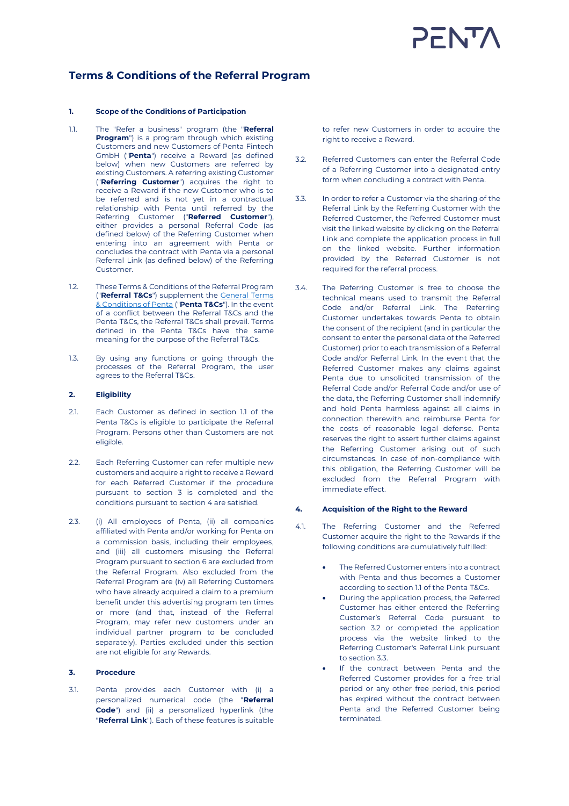# $FNT$

## **Terms & Conditions of the Referral Program**

#### **1. Scope of the Conditions of Participation**

- 1.1. The "Refer a business" program (the "**Referral Program**") is a program through which existing Customers and new Customers of Penta Fintech GmbH ("**Penta**") receive a Reward (as defined below) when new Customers are referred by existing Customers. A referring existing Customer ("**Referring Customer**") acquires the right to receive a Reward if the new Customer who is to be referred and is not yet in a contractual relationship with Penta until referred by the Referring Customer ("**Referred Customer**"), either provides a personal Referral Code (as defined below) of the Referring Customer when entering into an agreement with Penta or concludes the contract with Penta via a personal Referral Link (as defined below) of the Referring Customer.
- 1.2. These Terms & Conditions of the Referral Program ("**Referral T&Cs**") supplement the [General Terms](https://getpenta.com/en/terms-conditions/)  & [Conditions of Penta](https://getpenta.com/en/terms-conditions/) ("**Penta T&Cs**"). In the event of a conflict between the Referral T&Cs and the Penta T&Cs, the Referral T&Cs shall prevail. Terms defined in the Penta T&Cs have the same meaning for the purpose of the Referral T&Cs.
- 1.3. By using any functions or going through the processes of the Referral Program, the user agrees to the Referral T&Cs.

#### **2. Eligibility**

- 2.1. Each Customer as defined in section 1.1 of the Penta T&Cs is eligible to participate the Referral Program. Persons other than Customers are not eligible.
- 2.2. Each Referring Customer can refer multiple new customers and acquire a right to receive a Reward for each Referred Customer if the procedure pursuant to section 3 is completed and the conditions pursuant to section 4 are satisfied.
- 2.3. (i) All employees of Penta, (ii) all companies affiliated with Penta and/or working for Penta on a commission basis, including their employees, and (iii) all customers misusing the Referral Program pursuant to section 6 are excluded from the Referral Program. Also excluded from the Referral Program are (iv) all Referring Customers who have already acquired a claim to a premium benefit under this advertising program ten times or more (and that, instead of the Referral Program, may refer new customers under an individual partner program to be concluded separately). Parties excluded under this section are not eligible for any Rewards.

### **3. Procedure**

3.1. Penta provides each Customer with (i) a personalized numerical code (the "**Referral Code**") and (ii) a personalized hyperlink (the "**Referral Link**"). Each of these features is suitable

to refer new Customers in order to acquire the right to receive a Reward.

- 3.2. Referred Customers can enter the Referral Code of a Referring Customer into a designated entry form when concluding a contract with Penta.
- 3.3. In order to refer a Customer via the sharing of the Referral Link by the Referring Customer with the Referred Customer, the Referred Customer must visit the linked website by clicking on the Referral Link and complete the application process in full on the linked website. Further information provided by the Referred Customer is not required for the referral process.
- 3.4. The Referring Customer is free to choose the technical means used to transmit the Referral Code and/or Referral Link. The Referring Customer undertakes towards Penta to obtain the consent of the recipient (and in particular the consent to enter the personal data of the Referred Customer) prior to each transmission of a Referral Code and/or Referral Link. In the event that the Referred Customer makes any claims against Penta due to unsolicited transmission of the Referral Code and/or Referral Code and/or use of the data, the Referring Customer shall indemnify and hold Penta harmless against all claims in connection therewith and reimburse Penta for the costs of reasonable legal defense. Penta reserves the right to assert further claims against the Referring Customer arising out of such circumstances. In case of non-compliance with this obligation, the Referring Customer will be excluded from the Referral Program with immediate effect.

### **4. Acquisition of the Right to the Reward**

- 4.1. The Referring Customer and the Referred Customer acquire the right to the Rewards if the following conditions are cumulatively fulfilled:
	- The Referred Customer enters into a contract with Penta and thus becomes a Customer according to section 1.1 of the Penta T&Cs.
	- During the application process, the Referred Customer has either entered the Referring Customer's Referral Code pursuant to section 3.2 or completed the application process via the website linked to the Referring Customer's Referral Link pursuant to section 3.3.
	- If the contract between Penta and the Referred Customer provides for a free trial period or any other free period, this period has expired without the contract between Penta and the Referred Customer being terminated.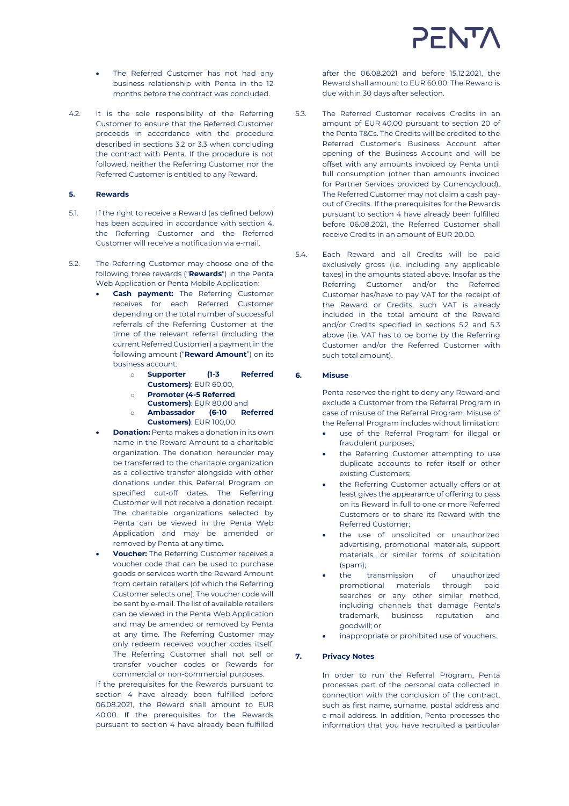- The Referred Customer has not had any business relationship with Penta in the 12 months before the contract was concluded.
- 4.2. It is the sole responsibility of the Referring Customer to ensure that the Referred Customer proceeds in accordance with the procedure described in sections 3.2 or 3.3 when concluding the contract with Penta. If the procedure is not followed, neither the Referring Customer nor the Referred Customer is entitled to any Reward.

#### **5. Rewards**

- 5.1. If the right to receive a Reward (as defined below) has been acquired in accordance with section 4, the Referring Customer and the Referred Customer will receive a notification via e-mail.
- <span id="page-1-0"></span>5.2. The Referring Customer may choose one of the following three rewards ("**Rewards**") in the Penta Web Application or Penta Mobile Application:
	- **Cash payment:** The Referring Customer receives for each Referred Customer depending on the total number of successful referrals of the Referring Customer at the time of the relevant referral (including the current Referred Customer) a payment in the following amount ("**Reward Amount**") on its business account:
		- o **Supporter (1-3 Referred Customers)**: EUR 60,00,
		- o **Promoter (4-5 Referred**
		- **Customers)**: EUR 80,00 and
		- o **Ambassador (6-10 Referred Customers)**: EUR 100,00.
	- **Donation:** Penta makes a donation in its own name in the Reward Amount to a charitable organization. The donation hereunder may be transferred to the charitable organization as a collective transfer alongside with other donations under this Referral Program on specified cut-off dates. The Referring Customer will not receive a donation receipt. The charitable organizations selected by Penta can be viewed in the Penta Web Application and may be amended or removed by Penta at any time**.**
	- **Voucher:** The Referring Customer receives a voucher code that can be used to purchase goods or services worth the Reward Amount from certain retailers (of which the Referring Customer selects one). The voucher code will be sent by e-mail. The list of available retailers can be viewed in the Penta Web Application and may be amended or removed by Penta at any time. The Referring Customer may only redeem received voucher codes itself. The Referring Customer shall not sell or transfer voucher codes or Rewards for commercial or non-commercial purposes.

If the prerequisites for the Rewards pursuant to section 4 have already been fulfilled before 06.08.2021, the Reward shall amount to EUR 40.00. If the prerequisites for the Rewards pursuant to section 4 have already been fulfilled

after the 06.08.2021 and before 15.12.2021, the Reward shall amount to EUR 60.00. The Reward is due within 30 days after selection.

- <span id="page-1-1"></span>5.3. The Referred Customer receives Credits in an amount of EUR 40.00 pursuant to section 20 of the Penta T&Cs. The Credits will be credited to the Referred Customer's Business Account after opening of the Business Account and will be offset with any amounts invoiced by Penta until full consumption (other than amounts invoiced for Partner Services provided by Currencycloud). The Referred Customer may not claim a cash payout of Credits. If the prerequisites for the Rewards pursuant to section 4 have already been fulfilled before 06.08.2021, the Referred Customer shall receive Credits in an amount of EUR 20.00.
- 5.4. Each Reward and all Credits will be paid exclusively gross (i.e. including any applicable taxes) in the amounts stated above. Insofar as the Referring Customer and/or the Referred Customer has/have to pay VAT for the receipt of the Reward or Credits, such VAT is already included in the total amount of the Reward and/or Credits specified in sections [5.2](#page-1-0) and [5.3](#page-1-1) above (i.e. VAT has to be borne by the Referring Customer and/or the Referred Customer with such total amount).

#### **6. Misuse**

Penta reserves the right to deny any Reward and exclude a Customer from the Referral Program in case of misuse of the Referral Program. Misuse of the Referral Program includes without limitation:

- use of the Referral Program for illegal or fraudulent purposes;
- the Referring Customer attempting to use duplicate accounts to refer itself or other existing Customers;
- the Referring Customer actually offers or at least gives the appearance of offering to pass on its Reward in full to one or more Referred Customers or to share its Reward with the Referred Customer;
- the use of unsolicited or unauthorized advertising, promotional materials, support materials, or similar forms of solicitation  $(s<sub>nam</sub>)$ ;
- the transmission of unauthorized promotional materials through paid searches or any other similar method, including channels that damage Penta's trademark, business reputation and goodwill; or
- inappropriate or prohibited use of vouchers.

#### **7. Privacy Notes**

In order to run the Referral Program, Penta processes part of the personal data collected in connection with the conclusion of the contract, such as first name, surname, postal address and e-mail address. In addition, Penta processes the information that you have recruited a particular